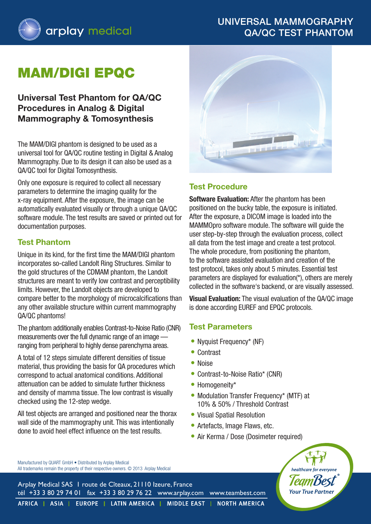# Universal Mammography QA/QC Test Phantom



# mam/digi EPQC

## **Universal Test Phantom for QA/QC Procedures in Analog & Digital Mammography & Tomosynthesis**

The MAM/DIGI phantom is designed to be used as a universal tool for QA/QC routine testing in Digital & Analog Mammography. Due to its design it can also be used as a QA/QC tool for Digital Tomosynthesis.

Only one exposure is required to collect all necessary parameters to determine the imaging quality for the x-ray equipment. After the exposure, the image can be automatically evaluated visually or through a unique QA/QC software module. The test results are saved or printed out for documentation purposes.

### **Test Phantom**

Unique in its kind, for the first time the MAM/DIGI phantom incorporates so-called Landolt Ring Structures. Similar to the gold structures of the CDMAM phantom, the Landolt structures are meant to verify low contrast and perceptibility limits. However, the Landolt objects are developed to compare better to the morphology of microcalcifications than any other available structure within current mammography QA/QC phantoms!

The phantom additionally enables Contrast-to-Noise Ratio (CNR) measurements over the full dynamic range of an image ranging from peripheral to highly dense parenchyma areas.

A total of 12 steps simulate different densities of tissue material, thus providing the basis for QA procedures which correspond to actual anatomical conditions. Additional attenuation can be added to simulate further thickness and density of mamma tissue. The low contrast is visually checked using the 12-step wedge.

All test objects are arranged and positioned near the thorax wall side of the mammography unit. This was intentionally done to avoid heel effect influence on the test results.



### **Test Procedure**

**Software Evaluation:** After the phantom has been positioned on the bucky table, the exposure is initiated. After the exposure, a DICOM image is loaded into the mammopro software module. The software will guide the user step-by-step through the evaluation process, collect all data from the test image and create a test protocol. The whole procedure, from positioning the phantom, to the software assisted evaluation and creation of the test protocol, takes only about 5 minutes. Essential test parameters are displayed for evaluation(\*), others are merely collected in the software's backend, or are visually assessed.

**Visual Evaluation:** The visual evaluation of the QA/QC image is done according EUREF and EPQC protocols.

#### **Test Parameters**

- Nyquist Frequency\* (NF)
- Contrast
- Noise
- Contrast-to-Noise Ratio\* (CNR)
- Homogeneity\*
- Modulation Transfer Frequency\* (MTF) at 10% & 50% / Threshold Contrast
- Visual Spatial Resolution
- Artefacts, Image Flaws, etc.
- Air Kerma / Dose (Dosimeter required)

Manufactured by QUART GmbH • Distributed by Arplay Medical All trademarks remain the property of their respective owners. © 2013 Arplay Medical

Arplay Medical SAS 1 route de Cîteaux, 21110 Izeure, France tél +33 3 80 29 74 01 fax +33 3 80 29 76 22 www.arplay.com www.teambest.com **Your True Par** 

AFRICA | ASIA | EUROPE | LATIN AMERICA | MIDDLE EAST | NORTH AMERICA